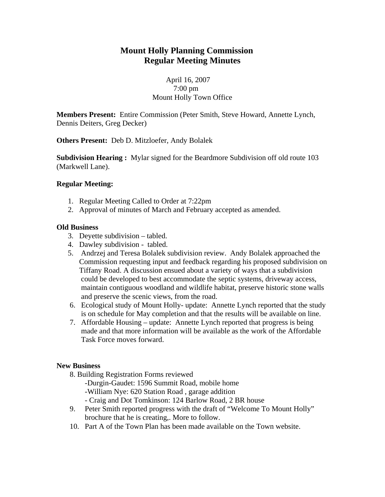# **Mount Holly Planning Commission Regular Meeting Minutes**

## April 16, 2007 7:00 pm Mount Holly Town Office

**Members Present:** Entire Commission (Peter Smith, Steve Howard, Annette Lynch, Dennis Deiters, Greg Decker)

**Others Present:** Deb D. Mitzloefer, Andy Bolalek

**Subdivision Hearing :** Mylar signed for the Beardmore Subdivision off old route 103 (Markwell Lane).

## **Regular Meeting:**

- 1. Regular Meeting Called to Order at 7:22pm
- 2. Approval of minutes of March and February accepted as amended.

## **Old Business**

- 3. Deyette subdivision tabled.
- 4. Dawley subdivision tabled.
- 5. Andrzej and Teresa Bolalek subdivision review. Andy Bolalek approached the Commission requesting input and feedback regarding his proposed subdivision on Tiffany Road. A discussion ensued about a variety of ways that a subdivision could be developed to best accommodate the septic systems, driveway access, maintain contiguous woodland and wildlife habitat, preserve historic stone walls and preserve the scenic views, from the road.
- 6. Ecological study of Mount Holly- update: Annette Lynch reported that the study is on schedule for May completion and that the results will be available on line.
- 7. Affordable Housing update: Annette Lynch reported that progress is being made and that more information will be available as the work of the Affordable Task Force moves forward.

#### **New Business**

- 8. Building Registration Forms reviewed
	- -Durgin-Gaudet: 1596 Summit Road, mobile home
	- -William Nye: 620 Station Road , garage addition
	- Craig and Dot Tomkinson: 124 Barlow Road, 2 BR house
- 9. Peter Smith reported progress with the draft of "Welcome To Mount Holly" brochure that he is creating,. More to follow.
- 10. Part A of the Town Plan has been made available on the Town website.